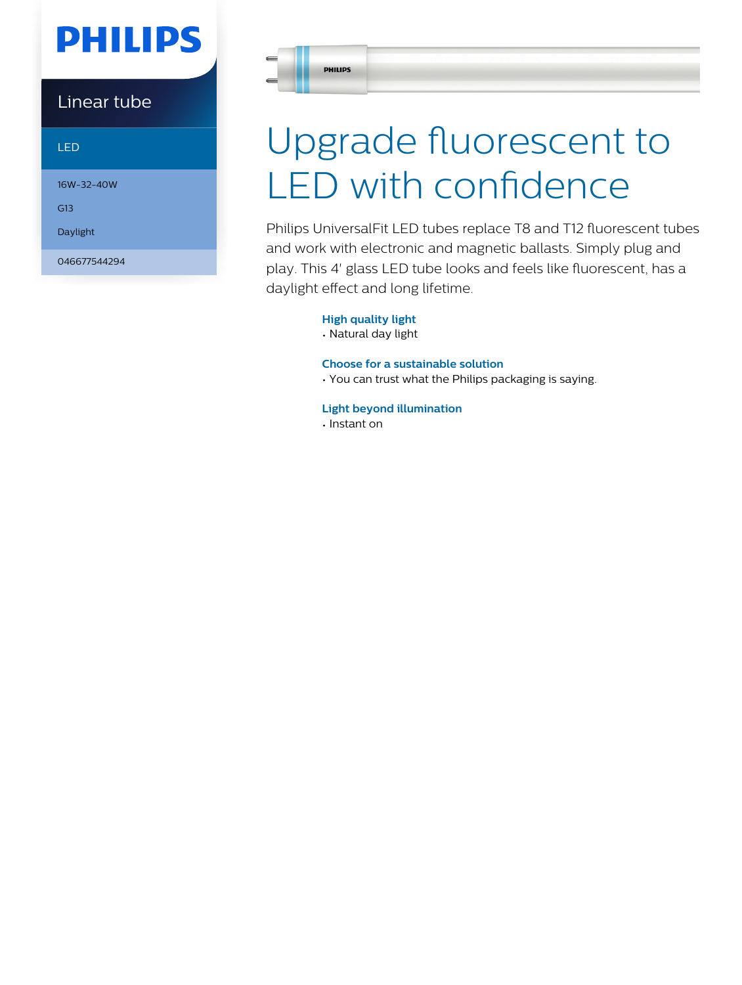# **PHILIPS**

Linear tube

LED

16W-32-40W

G13

Daylight

046677544294

# Upgrade fluorescent to LED with confidence

Philips UniversalFit LED tubes replace T8 and T12 fluorescent tubes and work with electronic and magnetic ballasts. Simply plug and play. This 4' glass LED tube looks and feels like fluorescent, has a daylight effect and long lifetime.

#### **High quality light**

• Natural day light

#### **Choose for a sustainable solution**

• You can trust what the Philips packaging is saying.

#### **Light beyond illumination**

• Instant on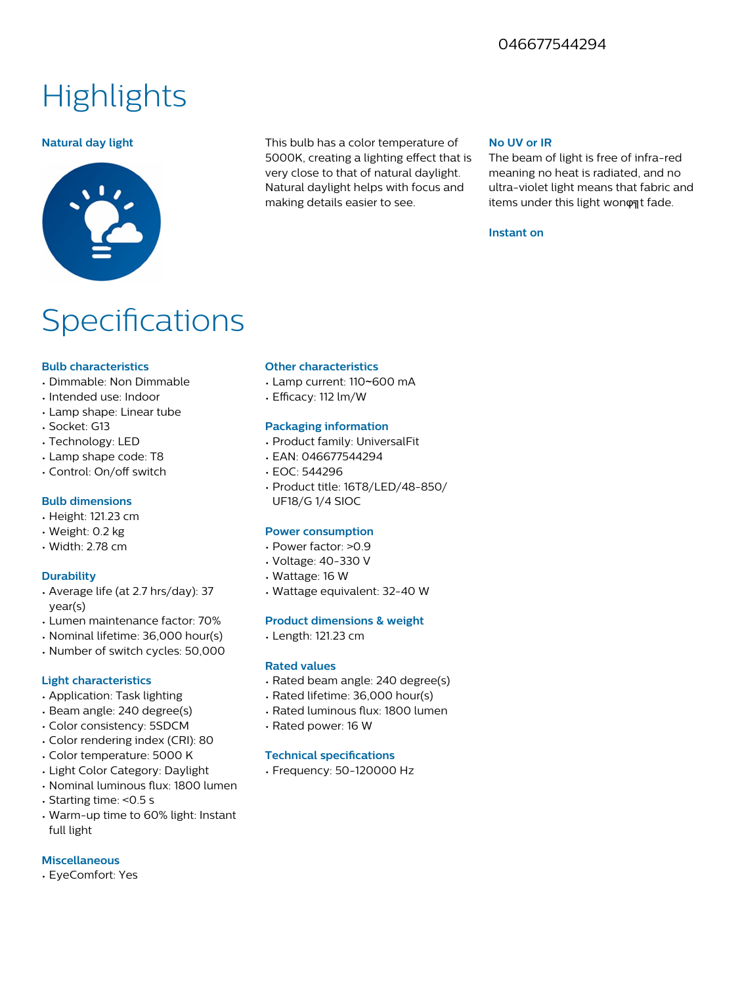### 046677544294

## **Highlights**



**Natural day light** This bulb has a color temperature of 5000K, creating a lighting effect that is very close to that of natural daylight. Natural daylight helps with focus and making details easier to see.

#### **No UV or IR**

The beam of light is free of infra-red meaning no heat is radiated, and no ultra-violet light means that fabric and items under this light wonφat fade.

#### **Instant on**

## **Specifications**

#### **Bulb characteristics**

- Dimmable: Non Dimmable
- Intended use: Indoor
- Lamp shape: Linear tube
- Socket: G13
- Technology: LED
- Lamp shape code: T8
- Control: On/off switch

#### **Bulb dimensions**

- Height: 121.23 cm
- Weight: 0.2 kg
- Width: 2.78 cm

#### **Durability**

- Average life (at 2.7 hrs/day): 37 year(s)
- Lumen maintenance factor: 70%
- Nominal lifetime: 36,000 hour(s)
- Number of switch cycles: 50,000

#### **Light characteristics**

- Application: Task lighting
- Beam angle: 240 degree(s)
- Color consistency: 5SDCM
- Color rendering index (CRI): 80
- Color temperature: 5000 K
- Light Color Category: Daylight
- Nominal luminous flux: 1800 lumen
- Starting time: <0.5 s
- Warm-up time to 60% light: Instant full light

#### **Miscellaneous**

• EyeComfort: Yes

#### **Other characteristics**

- Lamp current: 110~600 mA
- Efficacy: 112 lm/W

#### **Packaging information**

- Product family: UniversalFit
- EAN: 046677544294
- EOC: 544296
- Product title: 16T8/LED/48-850/ UF18/G 1/4 SIOC

#### **Power consumption**

- Power factor: >0.9
- Voltage: 40-330 V
- Wattage: 16 W
- Wattage equivalent: 32-40 W

#### **Product dimensions & weight**

• Length: 121.23 cm

#### **Rated values**

- Rated beam angle: 240 degree(s)
- Rated lifetime: 36,000 hour(s)
- Rated luminous flux: 1800 lumen
- Rated power: 16 W

#### **Technical specifications**

• Frequency: 50-120000 Hz